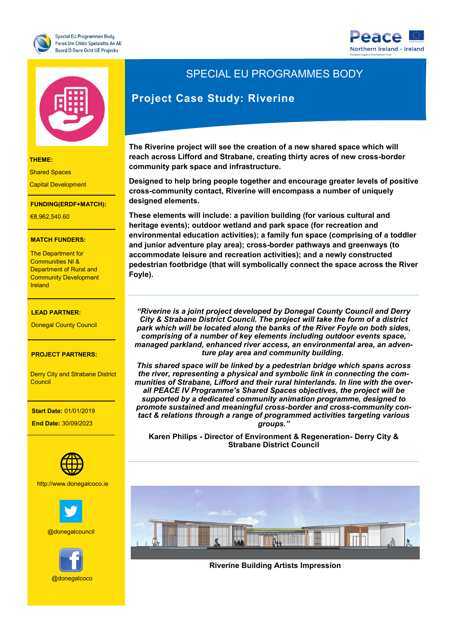





**THEME:**

Shared Spaces

Capital Development

### **FUNDING(ERDF+MATCH):**

Research and Innovation

**THEME:** €8,962,540.60

#### **MATCH FUNDERS:**

Communities NI & The Department for Department of Rural and Community Development Ireland

# €7,727,271.20 **LEAD PARTNER:**

Donegal County Council

#### **PROJECT PARTNERS:**

**Derry City and Strabane District** - The South West Council

**LEAD PARTNER:**

### of Scotland (Scotland)  **Start Date:** 01/01/2019

 **End Date:** 30/09/2023



**PROJECT CONTACT:**

**WEBSITE:** http://www.donegalcoco.ie



@donegalcouncil



# SPECIAL EU PROGRAMMES BODY

## **Project Case Study: Riverine**

**The Riverine project will see the creation of a new shared space which will reach across Lifford and Strabane, creating thirty acres of new cross-border community park space and infrastructure.**

**Designed to help bring people together and encourage greater levels of positive cross-community contact, Riverine will encompass a number of uniquely designed elements.** 

**These elements will include: a pavilion building (for various cultural and heritage events); outdoor wetland and park space (for recreation and environmental education activities); a family fun space (comprising of a toddler and junior adventure play area); cross-border pathways and greenways (to accommodate leisure and recreation activities); and a newly constructed pedestrian footbridge (that will symbolically connect the space across the River Foyle).**

*"Riverine is a joint project developed by Donegal County Council and Derry City & Strabane District Council. The project will take the form of a district park which will be located along the banks of the River Foyle on both sides, comprising of a number of key elements including outdoor events space, managed parkland, enhanced river access, an environmental area, an adventure play area and community building.*

*This shared space will be linked by a pedestrian bridge which spans across the river, representing a physical and symbolic link in connecting the communities of Strabane, Lifford and their rural hinterlands. In line with the overall PEACE IV Programme's Shared Spaces objectives, the project will be supported by a dedicated community animation programme, designed to promote sustained and meaningful cross-border and cross-community contact & relations through a range of programmed activities targeting various groups."*

**Karen Philips - Director of Environment & Regeneration- Derry City & Strabane District Council** 



**Riverine Building Artists Impression**